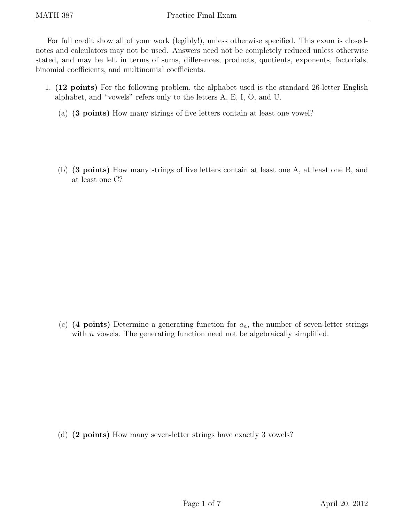For full credit show all of your work (legibly!), unless otherwise specified. This exam is closednotes and calculators may not be used. Answers need not be completely reduced unless otherwise stated, and may be left in terms of sums, differences, products, quotients, exponents, factorials, binomial coefficients, and multinomial coefficients.

- 1. (12 points) For the following problem, the alphabet used is the standard 26-letter English alphabet, and "vowels" refers only to the letters A, E, I, O, and U.
	- (a) (3 points) How many strings of five letters contain at least one vowel?
	- (b) (3 points) How many strings of five letters contain at least one A, at least one B, and at least one C?

(c) (4 points) Determine a generating function for  $a_n$ , the number of seven-letter strings with  $n$  vowels. The generating function need not be algebraically simplified.

(d) (2 points) How many seven-letter strings have exactly 3 vowels?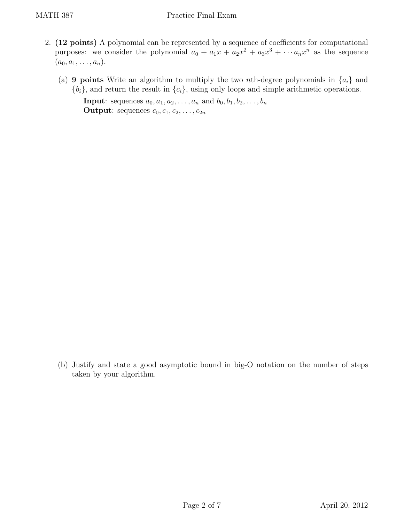- 2. (12 points) A polynomial can be represented by a sequence of coefficients for computational purposes: we consider the polynomial  $a_0 + a_1x + a_2x^2 + a_3x^3 + \cdots + a_nx^n$  as the sequence  $(a_0, a_1, \ldots, a_n).$ 
	- (a) 9 points Write an algorithm to multiply the two nth-degree polynomials in  $\{a_i\}$  and  ${b_i}$ , and return the result in  ${c_i}$ , using only loops and simple arithmetic operations.

**Input**: sequences  $a_0, a_1, a_2, \ldots, a_n$  and  $b_0, b_1, b_2, \ldots, b_n$ **Output:** sequences  $c_0, c_1, c_2, \ldots, c_{2n}$ 

(b) Justify and state a good asymptotic bound in big-O notation on the number of steps taken by your algorithm.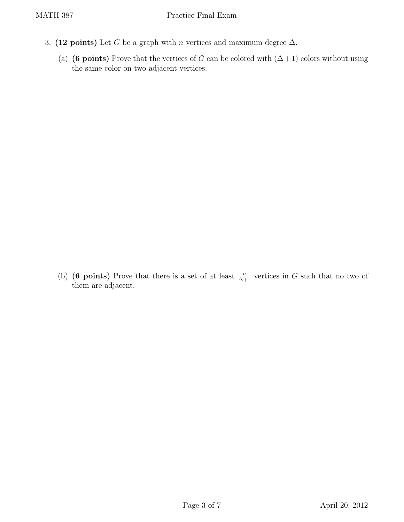- 3. (12 points) Let G be a graph with n vertices and maximum degree  $\Delta$ .
	- (a) (6 points) Prove that the vertices of G can be colored with  $(\Delta+1)$  colors without using the same color on two adjacent vertices.

(b) (6 points) Prove that there is a set of at least  $\frac{n}{\Delta+1}$  vertices in G such that no two of them are adjacent.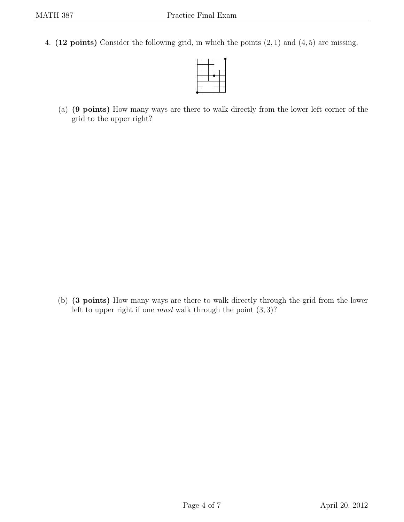4. (12 points) Consider the following grid, in which the points  $(2, 1)$  and  $(4, 5)$  are missing.



(a) (9 points) How many ways are there to walk directly from the lower left corner of the grid to the upper right?

(b) (3 points) How many ways are there to walk directly through the grid from the lower left to upper right if one *must* walk through the point  $(3,3)$ ?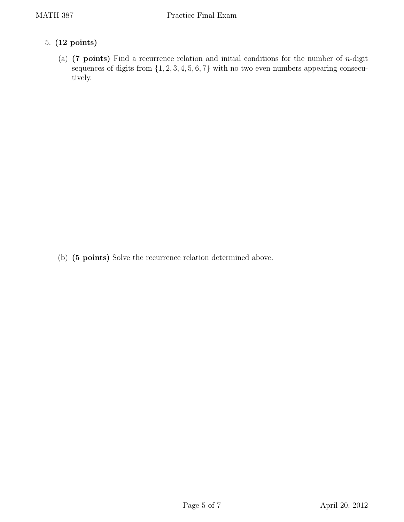## 5. (12 points)

(a) (7 points) Find a recurrence relation and initial conditions for the number of *n*-digit sequences of digits from  $\{1, 2, 3, 4, 5, 6, 7\}$  with no two even numbers appearing consecutively.

(b) (5 points) Solve the recurrence relation determined above.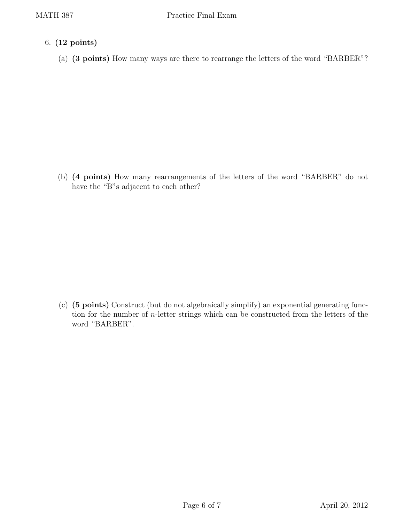- 6. (12 points)
	- (a) (3 points) How many ways are there to rearrange the letters of the word "BARBER"?

(b) (4 points) How many rearrangements of the letters of the word "BARBER" do not have the "B"s adjacent to each other?

(c) (5 points) Construct (but do not algebraically simplify) an exponential generating function for the number of n-letter strings which can be constructed from the letters of the word "BARBER".